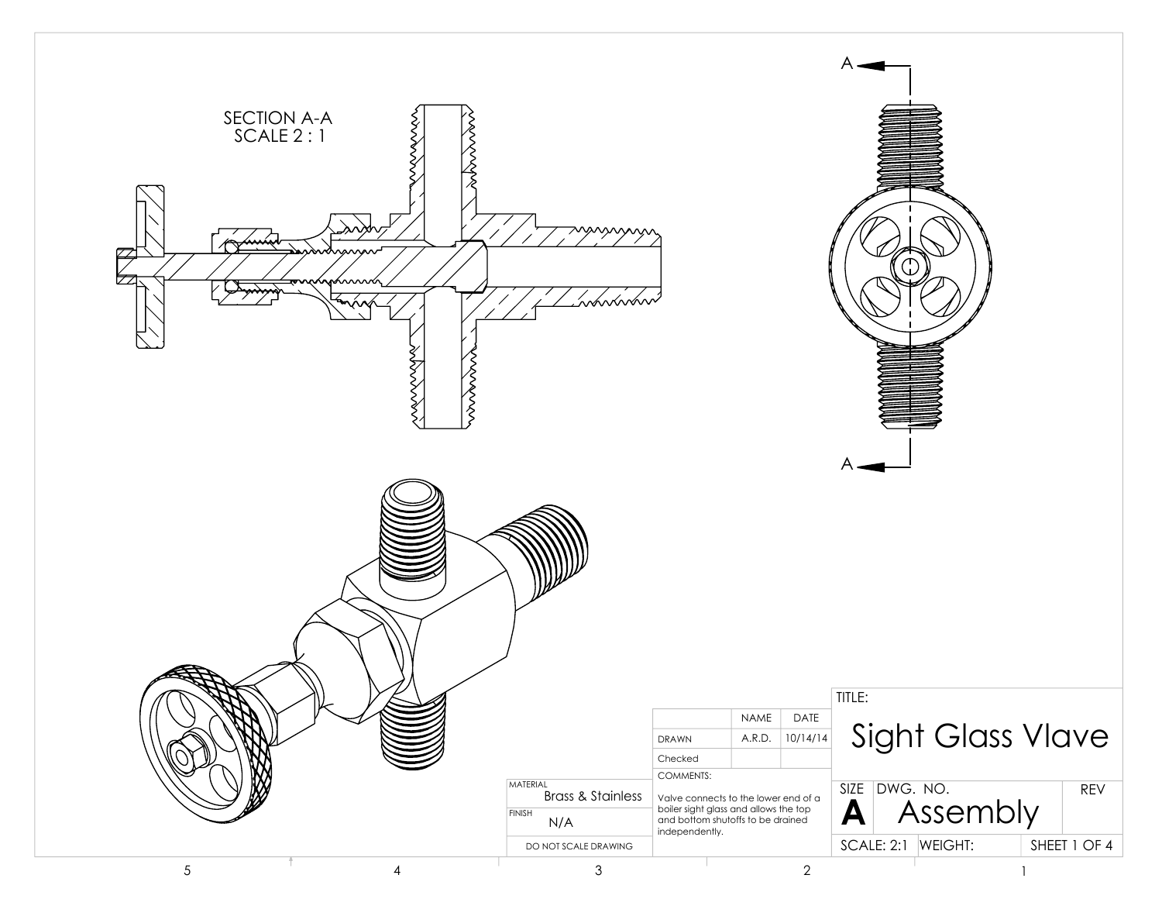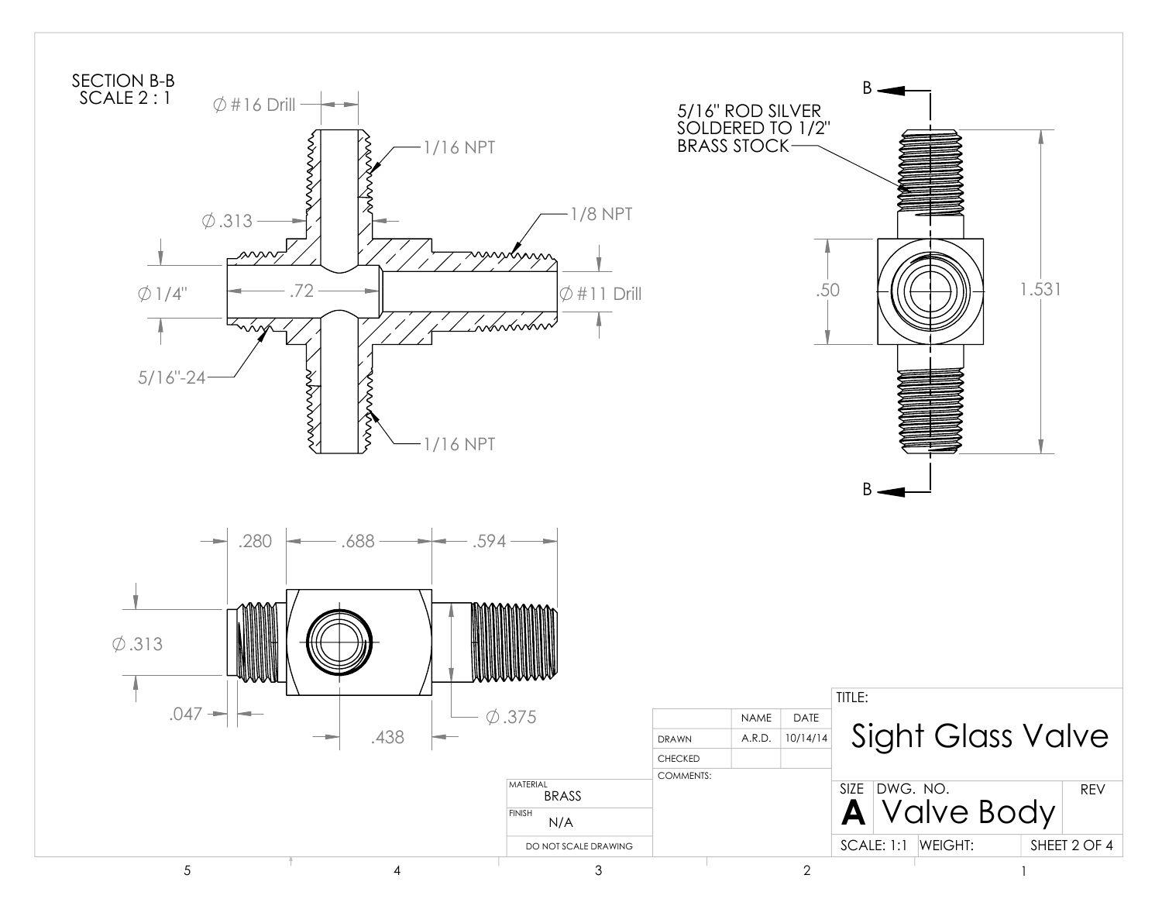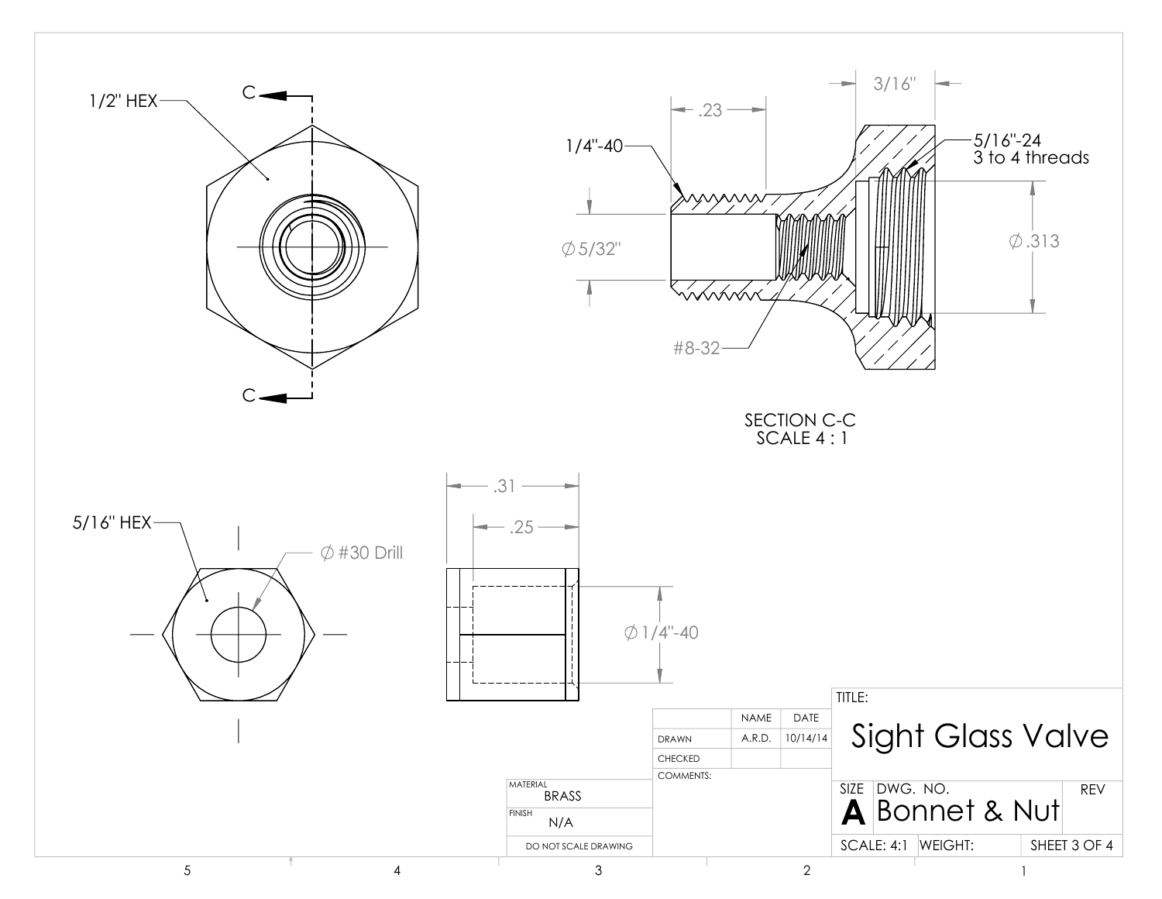